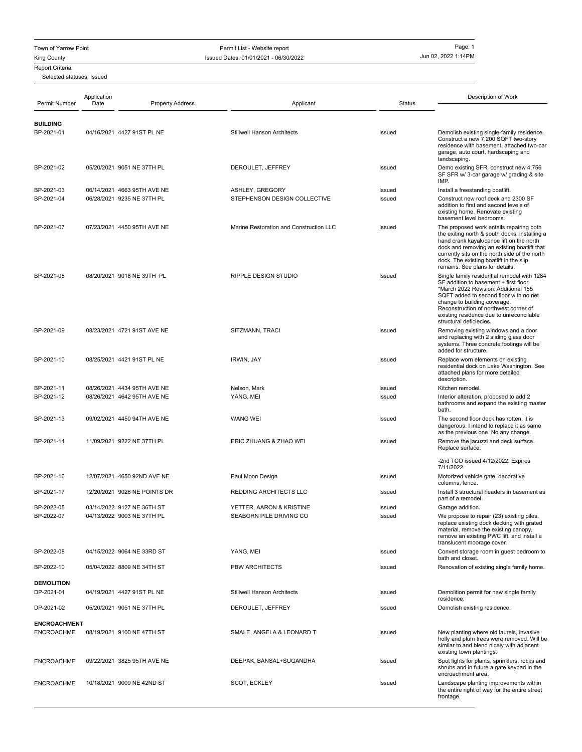Town of Yarrow Point Page: 1

King County **ISSUED 2002 1:14PM** Issued Dates: 01/01/2021 - 06/30/2022

## Report Criteria:

Selected statuses: Issued

| Permit Number                            | Application<br>Date | <b>Property Address</b>      | Applicant                               | Status | Description of Work                                                                                                                                                                                                                                                                                                     |
|------------------------------------------|---------------------|------------------------------|-----------------------------------------|--------|-------------------------------------------------------------------------------------------------------------------------------------------------------------------------------------------------------------------------------------------------------------------------------------------------------------------------|
|                                          |                     |                              |                                         |        |                                                                                                                                                                                                                                                                                                                         |
| <b>BUILDING</b><br>BP-2021-01            |                     | 04/16/2021 4427 91ST PL NE   | <b>Stillwell Hanson Architects</b>      | Issued | Demolish existing single-family residence.<br>Construct a new 7,200 SQFT two-story<br>residence with basement, attached two-car<br>garage, auto court, hardscaping and                                                                                                                                                  |
| BP-2021-02                               |                     | 05/20/2021 9051 NE 37TH PL   | DEROULET, JEFFREY                       | Issued | landscaping.<br>Demo existing SFR, construct new 4,756<br>SF SFR w/ 3-car garage w/ grading & site<br>IMP.                                                                                                                                                                                                              |
| BP-2021-03                               |                     | 06/14/2021 4663 95TH AVE NE  | ASHLEY, GREGORY                         | Issued | Install a freestanding boatlift.                                                                                                                                                                                                                                                                                        |
| BP-2021-04                               |                     | 06/28/2021 9235 NE 37TH PL   | STEPHENSON DESIGN COLLECTIVE            | Issued | Construct new roof deck and 2300 SF<br>addition to first and second levels of<br>existing home. Renovate existing<br>basement level bedrooms.                                                                                                                                                                           |
| BP-2021-07                               |                     | 07/23/2021 4450 95TH AVE NE  | Marine Restoration and Construction LLC | Issued | The proposed work entails repairing both<br>the exiting north & south docks, installing a<br>hand crank kayak/canoe lift on the north<br>dock and removing an existing boatlift that<br>currently sits on the north side of the north<br>dock. The existing boatlift in the slip<br>remains. See plans for details.     |
| BP-2021-08                               |                     | 08/20/2021 9018 NE 39TH PL   | <b>RIPPLE DESIGN STUDIO</b>             | Issued | Single family residential remodel with 1284<br>SF addition to basement + first floor.<br>*March 2022 Revision: Additional 155<br>SQFT added to second floor with no net<br>change to building coverage.<br>Reconstruction of northwest corner of<br>existing residence due to unreconcilable<br>structural deficiecies. |
| BP-2021-09                               |                     | 08/23/2021 4721 91ST AVE NE  | SITZMANN, TRACI                         | Issued | Removing existing windows and a door<br>and replacing with 2 sliding glass door<br>systems. Three concrete footings will be<br>added for structure.                                                                                                                                                                     |
| BP-2021-10                               |                     | 08/25/2021 4421 91ST PL NE   | IRWIN, JAY                              | Issued | Replace worn elements on existing<br>residential dock on Lake Washington. See<br>attached plans for more detailed<br>description.                                                                                                                                                                                       |
| BP-2021-11                               |                     | 08/26/2021 4434 95TH AVE NE  | Nelson, Mark                            | Issued | Kitchen remodel.                                                                                                                                                                                                                                                                                                        |
| BP-2021-12                               |                     | 08/26/2021 4642 95TH AVE NE  | YANG, MEI                               | Issued | Interior alteration, proposed to add 2<br>bathrooms and expand the existing master<br>bath.                                                                                                                                                                                                                             |
| BP-2021-13                               |                     | 09/02/2021 4450 94TH AVE NE  | <b>WANG WEI</b>                         | Issued | The second floor deck has rotten, it is<br>dangerous. I intend to replace it as same<br>as the previous one. No any change.                                                                                                                                                                                             |
| BP-2021-14                               |                     | 11/09/2021 9222 NE 37TH PL   | ERIC ZHUANG & ZHAO WEI                  | Issued | Remove the jacuzzi and deck surface.<br>Replace surface.                                                                                                                                                                                                                                                                |
|                                          |                     |                              |                                         |        | -2nd TCO issued 4/12/2022. Expires<br>7/11/2022.                                                                                                                                                                                                                                                                        |
| BP-2021-16                               |                     | 12/07/2021 4650 92ND AVE NE  | Paul Moon Design                        | Issued | Motorized vehicle gate, decorative<br>columns, fence.                                                                                                                                                                                                                                                                   |
| BP-2021-17                               |                     | 12/20/2021 9026 NE POINTS DR | REDDING ARCHITECTS LLC                  | Issued | Install 3 structural headers in basement as<br>part of a remodel.                                                                                                                                                                                                                                                       |
| BP-2022-05                               |                     | 03/14/2022 9127 NE 36TH ST   | YETTER, AARON & KRISTINE                | Issued | Garage addition.                                                                                                                                                                                                                                                                                                        |
| BP-2022-07                               |                     | 04/13/2022 9003 NE 37TH PL   | SEABORN PILE DRIVING CO                 | Issued | We propose to repair (23) existing piles,<br>replace existing dock decking with grated<br>material, remove the existing canopy,<br>remove an existing PWC lift, and install a<br>translucent moorage cover.                                                                                                             |
| BP-2022-08                               |                     | 04/15/2022 9064 NE 33RD ST   | YANG, MEI                               | Issued | Convert storage room in guest bedroom to<br>bath and closet.                                                                                                                                                                                                                                                            |
| BP-2022-10                               |                     | 05/04/2022 8809 NE 34TH ST   | <b>PBW ARCHITECTS</b>                   | Issued | Renovation of existing single family home.                                                                                                                                                                                                                                                                              |
| <b>DEMOLITION</b><br>DP-2021-01          |                     | 04/19/2021 4427 91ST PL NE   | Stillwell Hanson Architects             | Issued | Demolition permit for new single family                                                                                                                                                                                                                                                                                 |
| DP-2021-02                               |                     | 05/20/2021 9051 NE 37TH PL   | DEROULET, JEFFREY                       | Issued | residence.<br>Demolish existing residence.                                                                                                                                                                                                                                                                              |
|                                          |                     |                              |                                         |        |                                                                                                                                                                                                                                                                                                                         |
| <b>ENCROACHMENT</b><br><b>ENCROACHME</b> |                     | 08/19/2021 9100 NE 47TH ST   | SMALE, ANGELA & LEONARD T               | Issued | New planting where old laurels, invasive<br>holly and plum trees were removed. Will be<br>similar to and blend nicely with adjacent<br>existing town plantings.                                                                                                                                                         |
| <b>ENCROACHME</b>                        |                     | 09/22/2021 3825 95TH AVE NE  | DEEPAK, BANSAL+SUGANDHA                 | Issued | Spot lights for plants, sprinklers, rocks and<br>shrubs and in future a gate keypad in the<br>encroachment area.                                                                                                                                                                                                        |
| <b>ENCROACHME</b>                        |                     | 10/18/2021 9009 NE 42ND ST   | SCOT, ECKLEY                            | Issued | Landscape planting improvements within<br>the entire right of way for the entire street<br>frontage.                                                                                                                                                                                                                    |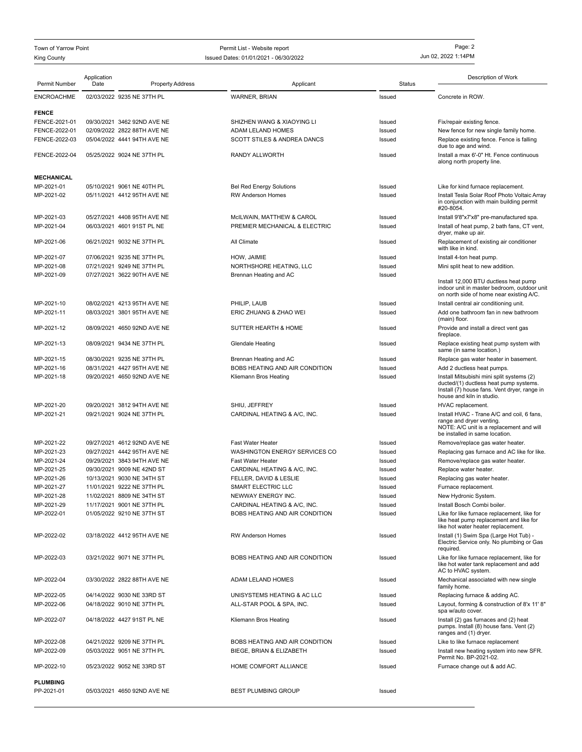## King County **ISSUED 2002 1:14PM** Issued Dates: 01/01/2021 - 06/30/2022 Town of Yarrow Point Permit List - Website report Page: 2

| Permit Number     | Application<br>Date | <b>Property Address</b>     | Applicant                       | <b>Status</b> | Description of Work                                                                                                              |
|-------------------|---------------------|-----------------------------|---------------------------------|---------------|----------------------------------------------------------------------------------------------------------------------------------|
|                   |                     |                             |                                 |               |                                                                                                                                  |
| <b>ENCROACHME</b> |                     | 02/03/2022 9235 NE 37TH PL  | <b>WARNER, BRIAN</b>            | Issued        | Concrete in ROW.                                                                                                                 |
| <b>FENCE</b>      |                     |                             |                                 |               |                                                                                                                                  |
| FENCE-2021-01     |                     | 09/30/2021 3462 92ND AVE NE | SHIZHEN WANG & XIAOYING LI      | Issued        | Fix/repair existing fence.                                                                                                       |
| FENCE-2022-01     |                     | 02/09/2022 2822 88TH AVE NE | ADAM LELAND HOMES               | Issued        | New fence for new single family home.                                                                                            |
| FENCE-2022-03     |                     | 05/04/2022 4441 94TH AVE NE | SCOTT STILES & ANDREA DANCS     | Issued        | Replace existing fence. Fence is falling                                                                                         |
|                   |                     |                             |                                 |               | due to age and wind.                                                                                                             |
| FENCE-2022-04     |                     | 05/25/2022 9024 NE 37TH PL  | RANDY ALLWORTH                  | Issued        | Install a max 6'-0" Ht. Fence continuous<br>along north property line.                                                           |
| <b>MECHANICAL</b> |                     |                             |                                 |               |                                                                                                                                  |
| MP-2021-01        |                     | 05/10/2021 9061 NE 40TH PL  | <b>Bel Red Energy Solutions</b> | Issued        | Like for kind furnace replacement.                                                                                               |
| MP-2021-02        |                     | 05/11/2021 4412 95TH AVE NE | <b>RW Anderson Homes</b>        | Issued        | Install Tesla Solar Roof Photo Voltaic Array                                                                                     |
|                   |                     |                             |                                 |               | in conjunction with main building permit<br>#20-8054.                                                                            |
| MP-2021-03        |                     | 05/27/2021 4408 95TH AVE NE | McILWAIN, MATTHEW & CAROL       | Issued        | Install 9'8"x7'x8" pre-manufactured spa.                                                                                         |
| MP-2021-04        |                     | 06/03/2021 4601 91ST PL NE  | PREMIER MECHANICAL & ELECTRIC   | Issued        | Install of heat pump, 2 bath fans, CT vent,<br>dryer, make up air.                                                               |
| MP-2021-06        |                     | 06/21/2021 9032 NE 37TH PL  | All Climate                     | Issued        | Replacement of existing air conditioner<br>with like in kind.                                                                    |
|                   |                     |                             |                                 |               |                                                                                                                                  |
| MP-2021-07        |                     | 07/06/2021 9235 NE 37TH PL  | HOW, JAIMIE                     | Issued        | Install 4-ton heat pump.                                                                                                         |
| MP-2021-08        |                     | 07/21/2021 9249 NE 37TH PL  | NORTHSHORE HEATING, LLC         | Issued        | Mini split heat to new addition.                                                                                                 |
| MP-2021-09        |                     | 07/27/2021 3622 90TH AVE NE | Brennan Heating and AC          | Issued        |                                                                                                                                  |
|                   |                     |                             |                                 |               | Install 12,000 BTU ductless heat pump<br>indoor unit in master bedroom, outdoor unit<br>on north side of home near existing A/C. |
| MP-2021-10        |                     | 08/02/2021 4213 95TH AVE NE | PHILIP, LAUB                    | Issued        | Install central air conditioning unit.                                                                                           |
| MP-2021-11        |                     | 08/03/2021 3801 95TH AVE NE | ERIC ZHUANG & ZHAO WEI          | Issued        | Add one bathroom fan in new bathroom                                                                                             |
|                   |                     |                             |                                 |               | (main) floor.                                                                                                                    |
| MP-2021-12        |                     | 08/09/2021 4650 92ND AVE NE | <b>SUTTER HEARTH &amp; HOME</b> | Issued        | Provide and install a direct vent gas<br>fireplace.                                                                              |
| MP-2021-13        |                     | 08/09/2021 9434 NE 37TH PL  | <b>Glendale Heating</b>         | Issued        | Replace existing heat pump system with<br>same (in same location.)                                                               |
| MP-2021-15        |                     | 08/30/2021 9235 NE 37TH PL  | Brennan Heating and AC          | Issued        | Replace gas water heater in basement.                                                                                            |
| MP-2021-16        |                     | 08/31/2021 4427 95TH AVE NE | BOBS HEATING AND AIR CONDITION  | Issued        | Add 2 ductless heat pumps.                                                                                                       |
| MP-2021-18        |                     | 09/20/2021 4650 92ND AVE NE | Kliemann Bros Heating           | Issued        | Install Mitsubishi mini split systems (2)                                                                                        |
|                   |                     |                             |                                 |               | ducted/(1) ductless heat pump systems.<br>Install (7) house fans. Vent dryer, range in<br>house and kiln in studio.              |
| MP-2021-20        |                     | 09/20/2021 3812 94TH AVE NE | SHIU, JEFFREY                   | Issued        | HVAC replacement.                                                                                                                |
| MP-2021-21        |                     | 09/21/2021 9024 NE 37TH PL  | CARDINAL HEATING & A/C, INC.    | Issued        | Install HVAC - Trane A/C and coil, 6 fans,                                                                                       |
|                   |                     |                             |                                 |               | range and dryer venting.<br>NOTE: A/C unit is a replacement and will<br>be installed in same location.                           |
| MP-2021-22        |                     | 09/27/2021 4612 92ND AVE NE | <b>Fast Water Heater</b>        | Issued        | Remove/replace gas water heater.                                                                                                 |
| MP-2021-23        |                     | 09/27/2021 4442 95TH AVE NE | WASHINGTON ENERGY SERVICES CO   | Issued        | Replacing gas furnace and AC like for like.                                                                                      |
| MP-2021-24        |                     | 09/29/2021 3843 94TH AVE NE | <b>Fast Water Heater</b>        |               |                                                                                                                                  |
|                   |                     |                             |                                 | Issued        | Remove/replace gas water heater.                                                                                                 |
| MP-2021-25        |                     | 09/30/2021 9009 NE 42ND ST  | CARDINAL HEATING & A/C, INC.    | Issued        | Replace water heater.                                                                                                            |
| MP-2021-26        |                     | 10/13/2021 9030 NE 34TH ST  | FELLER, DAVID & LESLIE          | Issued        | Replacing gas water heater.                                                                                                      |
| MP-2021-27        |                     | 11/01/2021 9222 NE 37TH PL  | SMART ELECTRIC LLC              | Issued        | Furnace replacement.                                                                                                             |
| MP-2021-28        |                     | 11/02/2021 8809 NE 34TH ST  | NEWWAY ENERGY INC               | Issued        | New Hydronic System                                                                                                              |
| MP-2021-29        |                     | 11/17/2021 9001 NE 37TH PL  | CARDINAL HEATING & A/C, INC.    | Issued        | Install Bosch Combi boiler.                                                                                                      |
| MP-2022-01        |                     | 01/05/2022 9210 NE 37TH ST  | BOBS HEATING AND AIR CONDITION  | Issued        | Like for like furnace replacement, like for                                                                                      |
|                   |                     |                             |                                 |               | like heat pump replacement and like for<br>like hot water heater replacement.                                                    |
| MP-2022-02        |                     | 03/18/2022 4412 95TH AVE NE | <b>RW Anderson Homes</b>        | Issued        | Install (1) Swim Spa (Large Hot Tub) -<br>Electric Service only. No plumbing or Gas<br>required.                                 |
| MP-2022-03        |                     | 03/21/2022 9071 NE 37TH PL  | BOBS HEATING AND AIR CONDITION  | Issued        | Like for like furnace replacement, like for<br>like hot water tank replacement and add<br>AC to HVAC system.                     |
| MP-2022-04        |                     | 03/30/2022 2822 88TH AVE NE | ADAM LELAND HOMES               | Issued        | Mechanical associated with new single<br>family home.                                                                            |
| MP-2022-05        |                     | 04/14/2022 9030 NE 33RD ST  | UNISYSTEMS HEATING & AC LLC     | Issued        | Replacing furnace & adding AC.                                                                                                   |
| MP-2022-06        |                     | 04/18/2022 9010 NE 37TH PL  | ALL-STAR POOL & SPA, INC.       | Issued        | Layout, forming & construction of 8'x 11' 8"<br>spa w/auto cover.                                                                |
| MP-2022-07        |                     | 04/18/2022 4427 91ST PL NE  | Kliemann Bros Heating           | Issued        | Install (2) gas furnaces and (2) heat<br>pumps. Install (8) house fans. Vent (2)<br>ranges and (1) dryer.                        |
| MP-2022-08        |                     | 04/21/2022 9209 NE 37TH PL  | BOBS HEATING AND AIR CONDITION  | Issued        | Like to like furnace replacement                                                                                                 |
| MP-2022-09        |                     | 05/03/2022 9051 NE 37TH PL  | BIEGE, BRIAN & ELIZABETH        | Issued        | Install new heating system into new SFR.                                                                                         |
|                   |                     |                             |                                 |               | Permit No. BP-2021-02.                                                                                                           |
| MP-2022-10        |                     | 05/23/2022 9052 NE 33RD ST  | HOME COMFORT ALLIANCE           | Issued        | Furnace change out & add AC.                                                                                                     |
| <b>PLUMBING</b>   |                     |                             |                                 |               |                                                                                                                                  |
| PP-2021-01        |                     | 05/03/2021 4650 92ND AVE NE | <b>BEST PLUMBING GROUP</b>      | Issued        |                                                                                                                                  |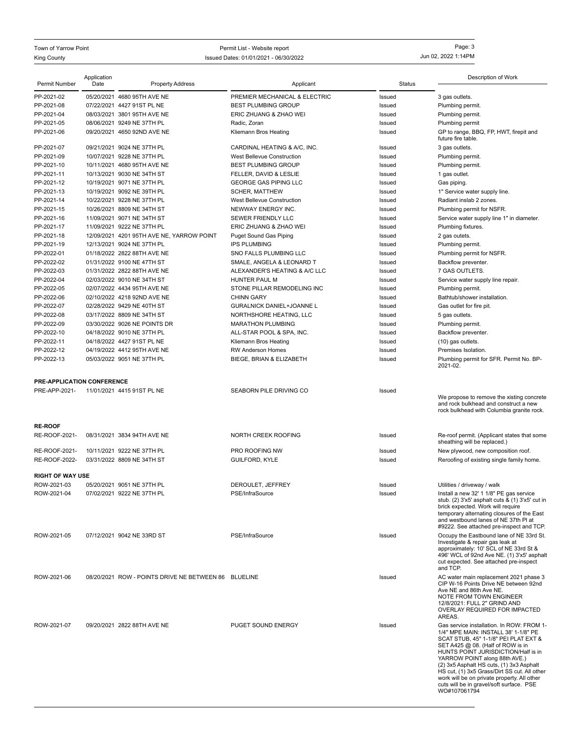King County **ISSUED 2002 1:14PM** Issued Dates: 01/01/2021 - 06/30/2022 Town of Yarrow Point Permit List - Website report Page: 3

|                            | Application |                                                          |                                          |                  | Description of Work                                                                      |
|----------------------------|-------------|----------------------------------------------------------|------------------------------------------|------------------|------------------------------------------------------------------------------------------|
| Permit Number              | Date        | <b>Property Address</b>                                  | Applicant                                | <b>Status</b>    |                                                                                          |
| PP-2021-02                 |             | 05/20/2021 4680 95TH AVE NE                              | PREMIER MECHANICAL & ELECTRIC            | Issued           | 3 gas outlets.                                                                           |
| PP-2021-08                 |             | 07/22/2021 4427 91ST PL NE                               | <b>BEST PLUMBING GROUP</b>               | Issued           | Plumbing permit.                                                                         |
| PP-2021-04                 |             | 08/03/2021 3801 95TH AVE NE                              | ERIC ZHUANG & ZHAO WEI                   | Issued           | Plumbing permit.                                                                         |
| PP-2021-05                 |             | 08/06/2021 9249 NE 37TH PL                               | Radic, Zoran                             | Issued           | Plumbing permit                                                                          |
| PP-2021-06                 |             | 09/20/2021 4650 92ND AVE NE                              | Kliemann Bros Heating                    | Issued           | GP to range, BBQ, FP, HWT, firepit and<br>future fire table.                             |
| PP-2021-07                 |             | 09/21/2021 9024 NE 37TH PL                               | CARDINAL HEATING & A/C, INC.             | Issued           | 3 gas outlets.                                                                           |
| PP-2021-09                 |             | 10/07/2021 9228 NE 37TH PL                               | West Bellevue Construction               | Issued           | Plumbing permit.                                                                         |
| PP-2021-10                 |             | 10/11/2021 4680 95TH AVE NE                              | <b>BEST PLUMBING GROUP</b>               | Issued           | Plumbing permit.                                                                         |
| PP-2021-11                 |             | 10/13/2021 9030 NE 34TH ST                               | FELLER, DAVID & LESLIE                   | Issued           | 1 gas outlet.                                                                            |
| PP-2021-12                 |             | 10/19/2021 9071 NE 37TH PL                               | <b>GEORGE GAS PIPING LLC</b>             | Issued           | Gas piping.                                                                              |
| PP-2021-13                 |             | 10/19/2021 9092 NE 39TH PL                               | <b>SCHER, MATTHEW</b>                    | Issued           | 1" Service water supply line.                                                            |
| PP-2021-14                 |             | 10/22/2021 9228 NE 37TH PL                               | West Bellevue Construction               | Issued           | Radiant inslab 2 zones.                                                                  |
| PP-2021-15<br>PP-2021-16   |             | 10/26/2021 8809 NE 34TH ST<br>11/09/2021 9071 NE 34TH ST | NEWWAY ENERGY INC.<br>SEWER FRIENDLY LLC | Issued<br>Issued | Plumbing permit for NSFR.<br>Service water supply line 1" in diameter.                   |
| PP-2021-17                 |             | 11/09/2021 9222 NE 37TH PL                               | ERIC ZHUANG & ZHAO WEI                   | Issued           | Plumbing fixtures.                                                                       |
| PP-2021-18                 |             | 12/09/2021 4201 95TH AVE NE, YARROW POINT                | <b>Puget Sound Gas Piping</b>            | Issued           | 2 gas outets.                                                                            |
| PP-2021-19                 |             | 12/13/2021 9024 NE 37TH PL                               | <b>IPS PLUMBING</b>                      | Issued           | Plumbing permit.                                                                         |
| PP-2022-01                 |             | 01/18/2022 2822 88TH AVE NE                              | SNO FALLS PLUMBING LLC                   | Issued           | Plumbing permit for NSFR.                                                                |
| PP-2022-02                 |             | 01/31/2022 9100 NE 47TH ST                               | SMALE, ANGELA & LEONARD T                | Issued           | Backflow preventer.                                                                      |
| PP-2022-03                 |             | 01/31/2022 2822 88TH AVE NE                              | ALEXANDER'S HEATING & A/C LLC            | Issued           | 7 GAS OUTLETS.                                                                           |
| PP-2022-04                 |             | 02/03/2022 9010 NE 34TH ST                               | <b>HUNTER PAUL M</b>                     | Issued           | Service water supply line repair.                                                        |
| PP-2022-05                 |             | 02/07/2022 4434 95TH AVE NE                              | STONE PILLAR REMODELING INC              | Issued           | Plumbing permit.                                                                         |
| PP-2022-06                 |             | 02/10/2022 4218 92ND AVE NE                              | <b>CHINN GARY</b>                        | Issued           | Bathtub/shower installation.                                                             |
| PP-2022-07                 |             | 02/28/2022 9429 NE 40TH ST                               | GURALNICK DANIEL+JOANNE L                | Issued           | Gas outlet for fire pit.                                                                 |
| PP-2022-08                 |             | 03/17/2022 8809 NE 34TH ST                               | NORTHSHORE HEATING, LLC                  | Issued           | 5 gas outlets.                                                                           |
| PP-2022-09                 |             | 03/30/2022 9026 NE POINTS DR                             | <b>MARATHON PLUMBING</b>                 | Issued           | Plumbing permit.                                                                         |
| PP-2022-10                 |             | 04/18/2022 9010 NE 37TH PL                               | ALL-STAR POOL & SPA, INC.                | Issued           | Backflow preventer.                                                                      |
| PP-2022-11                 |             | 04/18/2022 4427 91ST PL NE                               | Kliemann Bros Heating                    | Issued           | (10) gas outlets.                                                                        |
| PP-2022-12                 |             | 04/19/2022 4412 95TH AVE NE                              | <b>RW Anderson Homes</b>                 | Issued           | Premises Isolation.                                                                      |
| PP-2022-13                 |             | 05/03/2022 9051 NE 37TH PL                               | BIEGE, BRIAN & ELIZABETH                 | Issued           | Plumbing permit for SFR. Permit No. BP-                                                  |
|                            |             |                                                          |                                          |                  | 2021-02.                                                                                 |
| PRE-APPLICATION CONFERENCE |             |                                                          |                                          |                  |                                                                                          |
| PRE-APP-2021-              |             | 11/01/2021 4415 91ST PL NE                               | SEABORN PILE DRIVING CO                  | Issued           |                                                                                          |
|                            |             |                                                          |                                          |                  | We propose to remove the xisting concrete                                                |
|                            |             |                                                          |                                          |                  | and rock bulkhead and construct a new<br>rock bulkhead with Columbia granite rock.       |
|                            |             |                                                          |                                          |                  |                                                                                          |
| <b>RE-ROOF</b>             |             |                                                          |                                          |                  |                                                                                          |
| RE-ROOF-2021-              |             | 08/31/2021 3834 94TH AVE NE                              | NORTH CREEK ROOFING                      | Issued           | Re-roof permit. (Applicant states that some                                              |
|                            |             |                                                          |                                          |                  | sheathing will be replaced.)                                                             |
| RE-ROOF-2021-              |             | 10/11/2021 9222 NE 37TH PL                               | PRO ROOFING NW                           | Issued           | New plywood, new composition roof.                                                       |
| RE-ROOF-2022-              |             | 03/31/2022 8809 NE 34TH ST                               | GUILFORD, KYLE                           | Issued           | Reroofing of existing single family home.                                                |
| <b>RIGHT OF WAY USE</b>    |             |                                                          |                                          |                  |                                                                                          |
| ROW-2021-03                |             | 05/20/2021 9051 NE 37TH PL                               | DEROULET, JEFFREY                        | Issued           | Utilities / driveway / walk                                                              |
| ROW-2021-04                |             | 07/02/2021 9222 NE 37TH PL                               | PSE/InfraSource                          | Issued           | Install a new 32' 1 1/8" PE gas service                                                  |
|                            |             |                                                          |                                          |                  | stub. (2) 3'x5' asphalt cuts & (1) 3'x5' cut in                                          |
|                            |             |                                                          |                                          |                  | brick expected. Work will require                                                        |
|                            |             |                                                          |                                          |                  | temporary alternating closures of the East<br>and westbound lanes of NE 37th PI at       |
|                            |             |                                                          |                                          |                  | #9222. See attached pre-inspect and TCP.                                                 |
| ROW-2021-05                |             | 07/12/2021 9042 NE 33RD ST                               | PSE/InfraSource                          | Issued           | Occupy the Eastbound lane of NE 33rd St.                                                 |
|                            |             |                                                          |                                          |                  | Investigate & repair gas leak at<br>approximately: 10' SCL of NE 33rd St &               |
|                            |             |                                                          |                                          |                  | 496' WCL of 92nd Ave NE. (1) 3'x5' asphalt                                               |
|                            |             |                                                          |                                          |                  | cut expected. See attached pre-inspect                                                   |
|                            |             |                                                          |                                          |                  | and TCP.                                                                                 |
| ROW-2021-06                |             | 08/20/2021 ROW - POINTS DRIVE NE BETWEEN 86 BLUELINE     |                                          | Issued           | AC water main replacement 2021 phase 3<br>CIP W-16 Points Drive NE between 92nd          |
|                            |             |                                                          |                                          |                  | Ave NE and 86th Ave NE.                                                                  |
|                            |             |                                                          |                                          |                  | NOTE FROM TOWN ENGINEER                                                                  |
|                            |             |                                                          |                                          |                  | 12/8/2021: FULL 2" GRIND AND<br>OVERLAY REQUIRED FOR IMPACTED                            |
|                            |             |                                                          |                                          |                  | AREAS.                                                                                   |
| ROW-2021-07                |             | 09/20/2021 2822 88TH AVE NE                              | PUGET SOUND ENERGY                       | Issued           | Gas service installation. In ROW: FROM 1-                                                |
|                            |             |                                                          |                                          |                  | 1/4" MPE MAIN: INSTALL 38' 1-1/8" PE                                                     |
|                            |             |                                                          |                                          |                  | SCAT STUB, 45" 1-1/8" PEI PLAT EXT &<br>SET A425 @ 08. (Half of ROW is in                |
|                            |             |                                                          |                                          |                  | HUNTS POINT JURISDICTION/Half is in                                                      |
|                            |             |                                                          |                                          |                  | YARROW POINT along 88th AVE.)                                                            |
|                            |             |                                                          |                                          |                  | (2) 3x5 Asphalt HS cuts, (1) 3x3 Asphalt<br>HS cut, (1) 3x5 Grass/Dirt SS cut. All other |
|                            |             |                                                          |                                          |                  | work will be on private property. All other                                              |
|                            |             |                                                          |                                          |                  | cuts will be in gravel/soft surface. PSE<br>WO#107061794                                 |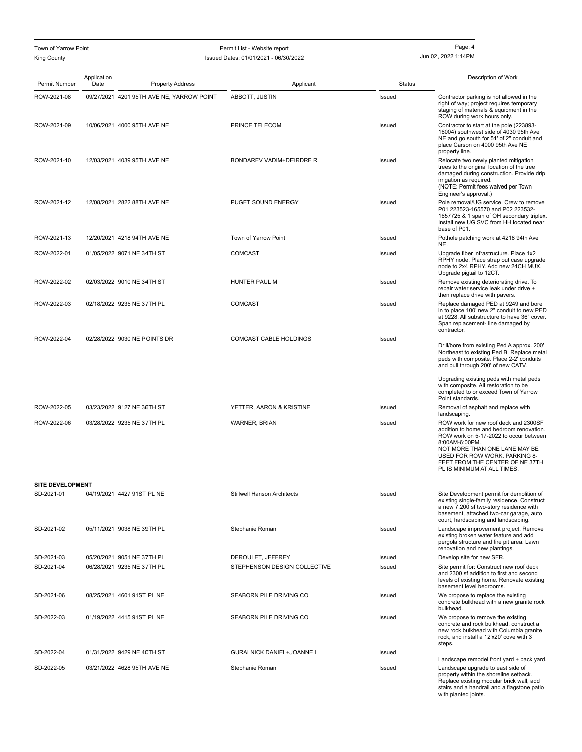| Town of Yarrow Point<br><b>King County</b> |                     | Permit List - Website report<br>Issued Dates: 01/01/2021 - 06/30/2022 |                                                   | Page: 4<br>Jun 02, 2022 1:14PM |                                                                                                                                                                                                                                                                                   |
|--------------------------------------------|---------------------|-----------------------------------------------------------------------|---------------------------------------------------|--------------------------------|-----------------------------------------------------------------------------------------------------------------------------------------------------------------------------------------------------------------------------------------------------------------------------------|
| Permit Number                              | Application<br>Date | <b>Property Address</b>                                               | Applicant                                         | <b>Status</b>                  | Description of Work                                                                                                                                                                                                                                                               |
| ROW-2021-08                                |                     | 09/27/2021 4201 95TH AVE NE, YARROW POINT                             | ABBOTT, JUSTIN                                    | Issued                         | Contractor parking is not allowed in the<br>right of way; project requires temporary<br>staging of materials & equipment in the<br>ROW during work hours only.                                                                                                                    |
| ROW-2021-09                                |                     | 10/06/2021 4000 95TH AVE NE                                           | PRINCE TELECOM                                    | Issued                         | Contractor to start at the pole (223893-<br>16004) southwest side of 4030 95th Ave<br>NE and go south for 51' of 2" conduit and<br>place Carson on 4000 95th Ave NE<br>property line.                                                                                             |
| ROW-2021-10                                |                     | 12/03/2021 4039 95TH AVE NE                                           | BONDAREV VADIM+DEIRDRE R                          | Issued                         | Relocate two newly planted mitigation<br>trees to the original location of the tree<br>damaged during construction. Provide drip<br>irrigation as required.<br>(NOTE: Permit fees waived per Town<br>Engineer's approval.)                                                        |
| ROW-2021-12                                |                     | 12/08/2021 2822 88TH AVE NE                                           | PUGET SOUND ENERGY                                | Issued                         | Pole removal/UG service. Crew to remove<br>P01 223523-165570 and P02 223532-<br>1657725 & 1 span of OH secondary triplex.<br>Install new UG SVC from HH located near<br>base of P01.                                                                                              |
| ROW-2021-13                                |                     | 12/20/2021 4218 94TH AVE NE                                           | Town of Yarrow Point                              | Issued                         | Pothole patching work at 4218 94th Ave<br>NE.                                                                                                                                                                                                                                     |
| ROW-2022-01                                |                     | 01/05/2022 9071 NE 34TH ST                                            | <b>COMCAST</b>                                    | Issued                         | Upgrade fiber infrastructure. Place 1x2<br>RPHY node. Place strap out case upgrade<br>node to 2x4 RPHY. Add new 24CH MUX.<br>Upgrade pigtail to 12CT.                                                                                                                             |
| ROW-2022-02                                |                     | 02/03/2022 9010 NE 34TH ST                                            | HUNTER PAUL M                                     | Issued                         | Remove existing deteriorating drive. To<br>repair water service leak under drive +<br>then replace drive with pavers.                                                                                                                                                             |
| ROW-2022-03                                |                     | 02/18/2022 9235 NE 37TH PL                                            | <b>COMCAST</b>                                    | Issued                         | Replace damaged PED at 9249 and bore<br>in to place 100' new 2" conduit to new PED<br>at 9228. All substructure to have 36" cover.<br>Span replacement- line damaged by<br>contractor.                                                                                            |
| ROW-2022-04                                |                     | 02/28/2022 9030 NE POINTS DR                                          | COMCAST CABLE HOLDINGS                            | Issued                         | Drill/bore from existing Ped A approx. 200'<br>Northeast to existing Ped B. Replace metal<br>peds with composite. Place 2-2' conduits<br>and pull through 200' of new CATV.<br>Upgrading existing peds with metal peds<br>with composite. All restoration to be                   |
|                                            |                     |                                                                       |                                                   |                                | completed to or exceed Town of Yarrow<br>Point standards.                                                                                                                                                                                                                         |
| ROW-2022-05                                |                     | 03/23/2022 9127 NE 36TH ST                                            | YETTER, AARON & KRISTINE                          | Issued                         | Removal of asphalt and replace with<br>landscaping.                                                                                                                                                                                                                               |
| ROW-2022-06                                |                     | 03/28/2022 9235 NE 37TH PL                                            | WARNER, BRIAN                                     | Issued                         | ROW work for new roof deck and 2300SF<br>addition to home and bedroom renovation.<br>ROW work on 5-17-2022 to occur between<br>8:00AM-6:00PM.<br>NOT MORE THAN ONE LANE MAY BE<br>USED FOR ROW WORK. PARKING 8-<br>FEET FROM THE CENTER OF NE 37TH<br>PL IS MINIMUM AT ALL TIMES. |
| <b>SITE DEVELOPMENT</b><br>SD-2021-01      |                     | 04/19/2021 4427 91ST PL NE                                            | <b>Stillwell Hanson Architects</b>                | Issued                         | Site Development permit for demolition of                                                                                                                                                                                                                                         |
|                                            |                     |                                                                       |                                                   |                                | existing single-family residence. Construct<br>a new 7,200 sf two-story residence with<br>basement, attached two-car garage, auto<br>court, hardscaping and landscaping.                                                                                                          |
| SD-2021-02                                 |                     | 05/11/2021 9038 NE 39TH PL                                            | Stephanie Roman                                   | Issued                         | Landscape improvement project. Remove<br>existing broken water feature and add<br>pergola structure and fire pit area. Lawn<br>renovation and new plantings.                                                                                                                      |
| SD-2021-03<br>SD-2021-04                   |                     | 05/20/2021 9051 NE 37TH PL<br>06/28/2021 9235 NE 37TH PL              | DEROULET, JEFFREY<br>STEPHENSON DESIGN COLLECTIVE | Issued<br>Issued               | Develop site for new SFR.<br>Site permit for: Construct new roof deck<br>and 2300 sf addition to first and second<br>levels of existing home. Renovate existing<br>basement level bedrooms.                                                                                       |
| SD-2021-06                                 |                     | 08/25/2021 4601 91ST PL NE                                            | SEABORN PILE DRIVING CO                           | Issued                         | We propose to replace the existing<br>concrete bulkhead with a new granite rock<br>bulkhead.                                                                                                                                                                                      |
| SD-2022-03                                 |                     | 01/19/2022 4415 91ST PL NE                                            | SEABORN PILE DRIVING CO                           | Issued                         | We propose to remove the existing<br>concrete and rock bulkhead, construct a<br>new rock bulkhead with Columbia granite<br>rock, and install a 12'x20' cove with 3<br>steps.                                                                                                      |
| SD-2022-04                                 |                     | 01/31/2022 9429 NE 40TH ST                                            | <b>GURALNICK DANIEL+JOANNE L</b>                  | Issued                         | Landscape remodel front yard + back yard.                                                                                                                                                                                                                                         |
| SD-2022-05                                 |                     | 03/21/2022 4628 95TH AVE NE                                           | Stephanie Roman                                   | Issued                         | Landscape upgrade to east side of<br>property within the shoreline setback.<br>Replace existing modular brick wall, add<br>stairs and a handrail and a flagstone patio<br>with planted joints.                                                                                    |